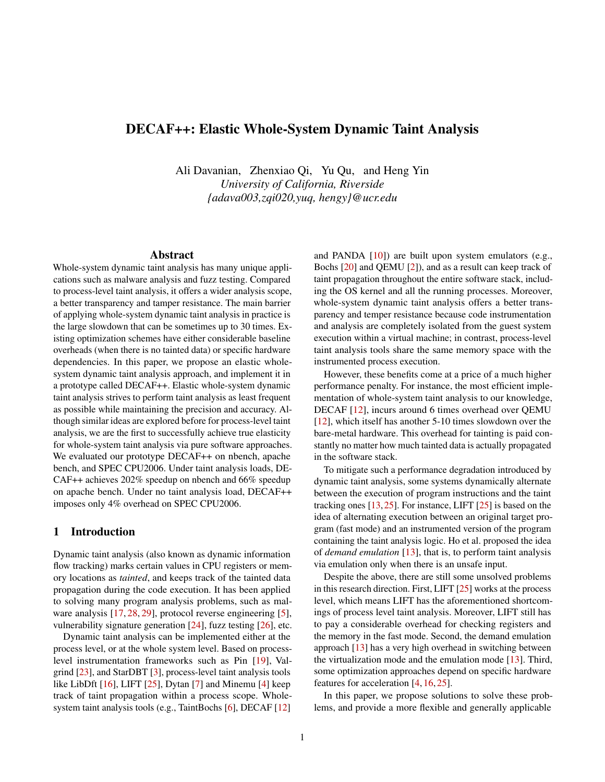# DECAF++: Elastic Whole-System Dynamic Taint Analysis

Ali Davanian, Zhenxiao Qi, Yu Qu, and Heng Yin *University of California, Riverside {adava003,zqi020,yuq, hengy}@ucr.edu*

#### Abstract

Whole-system dynamic taint analysis has many unique applications such as malware analysis and fuzz testing. Compared to process-level taint analysis, it offers a wider analysis scope, a better transparency and tamper resistance. The main barrier of applying whole-system dynamic taint analysis in practice is the large slowdown that can be sometimes up to 30 times. Existing optimization schemes have either considerable baseline overheads (when there is no tainted data) or specific hardware dependencies. In this paper, we propose an elastic wholesystem dynamic taint analysis approach, and implement it in a prototype called DECAF++. Elastic whole-system dynamic taint analysis strives to perform taint analysis as least frequent as possible while maintaining the precision and accuracy. Although similar ideas are explored before for process-level taint analysis, we are the first to successfully achieve true elasticity for whole-system taint analysis via pure software approaches. We evaluated our prototype DECAF++ on nbench, apache bench, and SPEC CPU2006. Under taint analysis loads, DE-CAF++ achieves 202% speedup on nbench and 66% speedup on apache bench. Under no taint analysis load, DECAF++ imposes only 4% overhead on SPEC CPU2006.

#### 1 Introduction

Dynamic taint analysis (also known as dynamic information flow tracking) marks certain values in CPU registers or memory locations as *tainted*, and keeps track of the tainted data propagation during the code execution. It has been applied to solving many program analysis problems, such as mal-ware analysis [\[17,](#page-12-0) [28,](#page-13-0) [29\]](#page-13-1), protocol reverse engineering [\[5\]](#page-12-1), vulnerability signature generation [\[24\]](#page-13-2), fuzz testing [\[26\]](#page-13-3), etc.

Dynamic taint analysis can be implemented either at the process level, or at the whole system level. Based on processlevel instrumentation frameworks such as Pin [\[19\]](#page-12-2), Valgrind [\[23\]](#page-13-4), and StarDBT [\[3\]](#page-11-0), process-level taint analysis tools like LibDft [\[16\]](#page-12-3), LIFT [\[25\]](#page-13-5), Dytan [\[7\]](#page-12-4) and Minemu [\[4\]](#page-12-5) keep track of taint propagation within a process scope. Wholesystem taint analysis tools (e.g., TaintBochs [\[6\]](#page-12-6), DECAF [\[12\]](#page-12-7)

and PANDA  $[10]$ ) are built upon system emulators (e.g., Bochs [\[20\]](#page-12-9) and QEMU [\[2\]](#page-11-1)), and as a result can keep track of taint propagation throughout the entire software stack, including the OS kernel and all the running processes. Moreover, whole-system dynamic taint analysis offers a better transparency and temper resistance because code instrumentation and analysis are completely isolated from the guest system execution within a virtual machine; in contrast, process-level taint analysis tools share the same memory space with the instrumented process execution.

However, these benefits come at a price of a much higher performance penalty. For instance, the most efficient implementation of whole-system taint analysis to our knowledge, DECAF [\[12\]](#page-12-7), incurs around 6 times overhead over QEMU [\[12\]](#page-12-7), which itself has another 5-10 times slowdown over the bare-metal hardware. This overhead for tainting is paid constantly no matter how much tainted data is actually propagated in the software stack.

To mitigate such a performance degradation introduced by dynamic taint analysis, some systems dynamically alternate between the execution of program instructions and the taint tracking ones [\[13,](#page-12-10)[25\]](#page-13-5). For instance, LIFT [\[25\]](#page-13-5) is based on the idea of alternating execution between an original target program (fast mode) and an instrumented version of the program containing the taint analysis logic. Ho et al. proposed the idea of *demand emulation* [\[13\]](#page-12-10), that is, to perform taint analysis via emulation only when there is an unsafe input.

Despite the above, there are still some unsolved problems in this research direction. First, LIFT [\[25\]](#page-13-5) works at the process level, which means LIFT has the aforementioned shortcomings of process level taint analysis. Moreover, LIFT still has to pay a considerable overhead for checking registers and the memory in the fast mode. Second, the demand emulation approach [\[13\]](#page-12-10) has a very high overhead in switching between the virtualization mode and the emulation mode [\[13\]](#page-12-10). Third, some optimization approaches depend on specific hardware features for acceleration [\[4,](#page-12-5) [16,](#page-12-3) [25\]](#page-13-5).

In this paper, we propose solutions to solve these problems, and provide a more flexible and generally applicable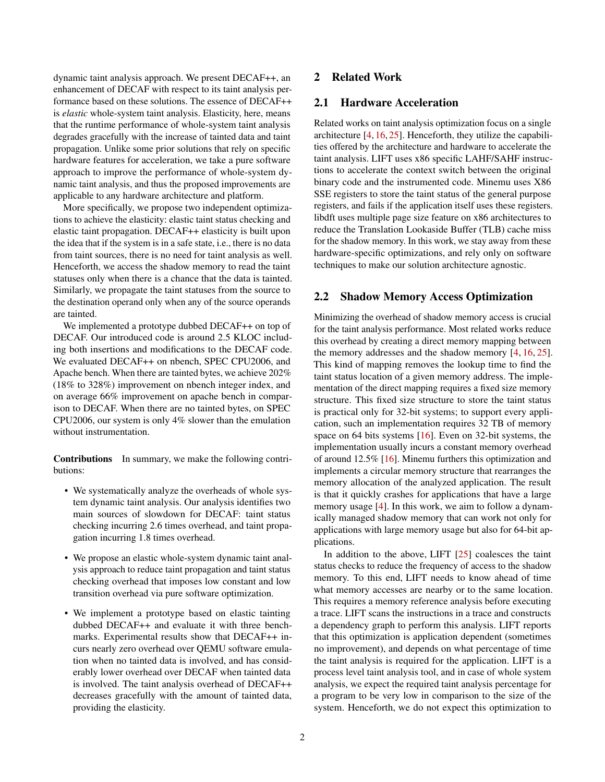dynamic taint analysis approach. We present DECAF++, an enhancement of DECAF with respect to its taint analysis performance based on these solutions. The essence of DECAF++ is *elastic* whole-system taint analysis. Elasticity, here, means that the runtime performance of whole-system taint analysis degrades gracefully with the increase of tainted data and taint propagation. Unlike some prior solutions that rely on specific hardware features for acceleration, we take a pure software approach to improve the performance of whole-system dynamic taint analysis, and thus the proposed improvements are applicable to any hardware architecture and platform.

More specifically, we propose two independent optimizations to achieve the elasticity: elastic taint status checking and elastic taint propagation. DECAF++ elasticity is built upon the idea that if the system is in a safe state, i.e., there is no data from taint sources, there is no need for taint analysis as well. Henceforth, we access the shadow memory to read the taint statuses only when there is a chance that the data is tainted. Similarly, we propagate the taint statuses from the source to the destination operand only when any of the source operands are tainted.

We implemented a prototype dubbed DECAF++ on top of DECAF. Our introduced code is around 2.5 KLOC including both insertions and modifications to the DECAF code. We evaluated DECAF++ on nbench, SPEC CPU2006, and Apache bench. When there are tainted bytes, we achieve 202% (18% to 328%) improvement on nbench integer index, and on average 66% improvement on apache bench in comparison to DECAF. When there are no tainted bytes, on SPEC CPU2006, our system is only 4% slower than the emulation without instrumentation.

Contributions In summary, we make the following contributions:

- We systematically analyze the overheads of whole system dynamic taint analysis. Our analysis identifies two main sources of slowdown for DECAF: taint status checking incurring 2.6 times overhead, and taint propagation incurring 1.8 times overhead.
- We propose an elastic whole-system dynamic taint analysis approach to reduce taint propagation and taint status checking overhead that imposes low constant and low transition overhead via pure software optimization.
- We implement a prototype based on elastic tainting dubbed DECAF++ and evaluate it with three benchmarks. Experimental results show that DECAF++ incurs nearly zero overhead over QEMU software emulation when no tainted data is involved, and has considerably lower overhead over DECAF when tainted data is involved. The taint analysis overhead of DECAF++ decreases gracefully with the amount of tainted data, providing the elasticity.

# 2 Related Work

## 2.1 Hardware Acceleration

Related works on taint analysis optimization focus on a single architecture [\[4,](#page-12-5) [16,](#page-12-3) [25\]](#page-13-5). Henceforth, they utilize the capabilities offered by the architecture and hardware to accelerate the taint analysis. LIFT uses x86 specific LAHF/SAHF instructions to accelerate the context switch between the original binary code and the instrumented code. Minemu uses X86 SSE registers to store the taint status of the general purpose registers, and fails if the application itself uses these registers. libdft uses multiple page size feature on x86 architectures to reduce the Translation Lookaside Buffer (TLB) cache miss for the shadow memory. In this work, we stay away from these hardware-specific optimizations, and rely only on software techniques to make our solution architecture agnostic.

## 2.2 Shadow Memory Access Optimization

Minimizing the overhead of shadow memory access is crucial for the taint analysis performance. Most related works reduce this overhead by creating a direct memory mapping between the memory addresses and the shadow memory [\[4,](#page-12-5) [16,](#page-12-3) [25\]](#page-13-5). This kind of mapping removes the lookup time to find the taint status location of a given memory address. The implementation of the direct mapping requires a fixed size memory structure. This fixed size structure to store the taint status is practical only for 32-bit systems; to support every application, such an implementation requires 32 TB of memory space on 64 bits systems [\[16\]](#page-12-3). Even on 32-bit systems, the implementation usually incurs a constant memory overhead of around 12.5% [\[16\]](#page-12-3). Minemu furthers this optimization and implements a circular memory structure that rearranges the memory allocation of the analyzed application. The result is that it quickly crashes for applications that have a large memory usage [\[4\]](#page-12-5). In this work, we aim to follow a dynamically managed shadow memory that can work not only for applications with large memory usage but also for 64-bit applications.

In addition to the above, LIFT  $[25]$  coalesces the taint status checks to reduce the frequency of access to the shadow memory. To this end, LIFT needs to know ahead of time what memory accesses are nearby or to the same location. This requires a memory reference analysis before executing a trace. LIFT scans the instructions in a trace and constructs a dependency graph to perform this analysis. LIFT reports that this optimization is application dependent (sometimes no improvement), and depends on what percentage of time the taint analysis is required for the application. LIFT is a process level taint analysis tool, and in case of whole system analysis, we expect the required taint analysis percentage for a program to be very low in comparison to the size of the system. Henceforth, we do not expect this optimization to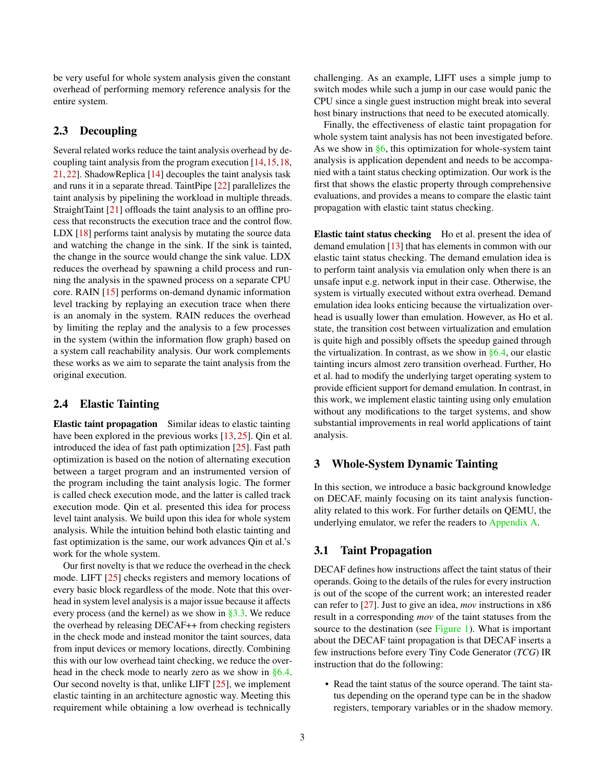be very useful for whole system analysis given the constant overhead of performing memory reference analysis for the entire system.

# 2.3 Decoupling

Several related works reduce the taint analysis overhead by decoupling taint analysis from the program execution [\[14,](#page-12-11)[15,](#page-12-12)[18,](#page-12-13) [21,](#page-13-6) [22\]](#page-13-7). ShadowReplica [\[14\]](#page-12-11) decouples the taint analysis task and runs it in a separate thread. TaintPipe [\[22\]](#page-13-7) parallelizes the taint analysis by pipelining the workload in multiple threads. StraightTaint [\[21\]](#page-13-6) offloads the taint analysis to an offline process that reconstructs the execution trace and the control flow. LDX [\[18\]](#page-12-13) performs taint analysis by mutating the source data and watching the change in the sink. If the sink is tainted, the change in the source would change the sink value. LDX reduces the overhead by spawning a child process and running the analysis in the spawned process on a separate CPU core. RAIN [\[15\]](#page-12-12) performs on-demand dynamic information level tracking by replaying an execution trace when there is an anomaly in the system. RAIN reduces the overhead by limiting the replay and the analysis to a few processes in the system (within the information flow graph) based on a system call reachability analysis. Our work complements these works as we aim to separate the taint analysis from the original execution.

## 2.4 Elastic Tainting

Elastic taint propagation Similar ideas to elastic tainting have been explored in the previous works [\[13,](#page-12-10) [25\]](#page-13-5). Qin et al. introduced the idea of fast path optimization [\[25\]](#page-13-5). Fast path optimization is based on the notion of alternating execution between a target program and an instrumented version of the program including the taint analysis logic. The former is called check execution mode, and the latter is called track execution mode. Qin et al. presented this idea for process level taint analysis. We build upon this idea for whole system analysis. While the intuition behind both elastic tainting and fast optimization is the same, our work advances Qin et al.'s work for the whole system.

Our first novelty is that we reduce the overhead in the check mode. LIFT [\[25\]](#page-13-5) checks registers and memory locations of every basic block regardless of the mode. Note that this overhead in system level analysis is a major issue because it affects every process (and the kernel) as we show in  $\S 3.3$ . We reduce the overhead by releasing DECAF++ from checking registers in the check mode and instead monitor the taint sources, data from input devices or memory locations, directly. Combining this with our low overhead taint checking, we reduce the overhead in the check mode to nearly zero as we show in [§6.4.](#page-10-0) Our second novelty is that, unlike LIFT [\[25\]](#page-13-5), we implement elastic tainting in an architecture agnostic way. Meeting this requirement while obtaining a low overhead is technically

challenging. As an example, LIFT uses a simple jump to switch modes while such a jump in our case would panic the CPU since a single guest instruction might break into several host binary instructions that need to be executed atomically.

Finally, the effectiveness of elastic taint propagation for whole system taint analysis has not been investigated before. As we show in  $§6$ , this optimization for whole-system taint analysis is application dependent and needs to be accompanied with a taint status checking optimization. Our work is the first that shows the elastic property through comprehensive evaluations, and provides a means to compare the elastic taint propagation with elastic taint status checking.

Elastic taint status checking Ho et al. present the idea of demand emulation [\[13\]](#page-12-10) that has elements in common with our elastic taint status checking. The demand emulation idea is to perform taint analysis via emulation only when there is an unsafe input e.g. network input in their case. Otherwise, the system is virtually executed without extra overhead. Demand emulation idea looks enticing because the virtualization overhead is usually lower than emulation. However, as Ho et al. state, the transition cost between virtualization and emulation is quite high and possibly offsets the speedup gained through the virtualization. In contrast, as we show in  $\S 6.4$ , our elastic tainting incurs almost zero transition overhead. Further, Ho et al. had to modify the underlying target operating system to provide efficient support for demand emulation. In contrast, in this work, we implement elastic tainting using only emulation without any modifications to the target systems, and show substantial improvements in real world applications of taint analysis.

## 3 Whole-System Dynamic Tainting

In this section, we introduce a basic background knowledge on DECAF, mainly focusing on its taint analysis functionality related to this work. For further details on QEMU, the underlying emulator, we refer the readers to [Appendix A.](#page-13-8)

## <span id="page-2-0"></span>3.1 Taint Propagation

DECAF defines how instructions affect the taint status of their operands. Going to the details of the rules for every instruction is out of the scope of the current work; an interested reader can refer to [\[27\]](#page-13-9). Just to give an idea, *mov* instructions in x86 result in a corresponding *mov* of the taint statuses from the source to the destination (see [Figure 1\)](#page-3-1). What is important about the DECAF taint propagation is that DECAF inserts a few instructions before every Tiny Code Generator (*TCG*) IR instruction that do the following:

• Read the taint status of the source operand. The taint status depending on the operand type can be in the shadow registers, temporary variables or in the shadow memory.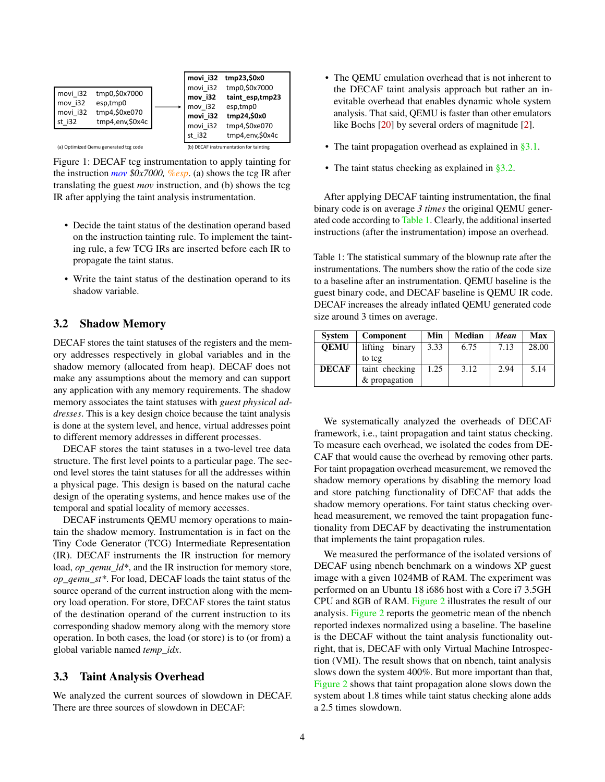<span id="page-3-1"></span>

Figure 1: DECAF tcg instrumentation to apply tainting for the instruction *mov \$0x7000, %esp*. (a) shows the tcg IR after translating the guest *mov* instruction, and (b) shows the tcg IR after applying the taint analysis instrumentation.

- Decide the taint status of the destination operand based on the instruction tainting rule. To implement the tainting rule, a few TCG IRs are inserted before each IR to propagate the taint status.
- Write the taint status of the destination operand to its shadow variable.

## <span id="page-3-2"></span>3.2 Shadow Memory

DECAF stores the taint statuses of the registers and the memory addresses respectively in global variables and in the shadow memory (allocated from heap). DECAF does not make any assumptions about the memory and can support any application with any memory requirements. The shadow memory associates the taint statuses with *guest physical addresses*. This is a key design choice because the taint analysis is done at the system level, and hence, virtual addresses point to different memory addresses in different processes.

DECAF stores the taint statuses in a two-level tree data structure. The first level points to a particular page. The second level stores the taint statuses for all the addresses within a physical page. This design is based on the natural cache design of the operating systems, and hence makes use of the temporal and spatial locality of memory accesses.

DECAF instruments QEMU memory operations to maintain the shadow memory. Instrumentation is in fact on the Tiny Code Generator (TCG) Intermediate Representation (IR). DECAF instruments the IR instruction for memory load, *op\_qemu\_ld\**, and the IR instruction for memory store, *op\_qemu\_st\**. For load, DECAF loads the taint status of the source operand of the current instruction along with the memory load operation. For store, DECAF stores the taint status of the destination operand of the current instruction to its corresponding shadow memory along with the memory store operation. In both cases, the load (or store) is to (or from) a global variable named *temp\_idx*.

#### <span id="page-3-0"></span>3.3 Taint Analysis Overhead

We analyzed the current sources of slowdown in DECAF. There are three sources of slowdown in DECAF:

- The QEMU emulation overhead that is not inherent to the DECAF taint analysis approach but rather an inevitable overhead that enables dynamic whole system analysis. That said, QEMU is faster than other emulators like Bochs [\[20\]](#page-12-9) by several orders of magnitude [\[2\]](#page-11-1).
- The taint propagation overhead as explained in  $\S 3.1$ .
- The taint status checking as explained in [§3.2.](#page-3-2)

After applying DECAF tainting instrumentation, the final binary code is on average *3 times* the original QEMU generated code according to [Table 1.](#page-3-3) Clearly, the additional inserted instructions (after the instrumentation) impose an overhead.

<span id="page-3-3"></span>Table 1: The statistical summary of the blownup rate after the instrumentations. The numbers show the ratio of the code size to a baseline after an instrumentation. QEMU baseline is the guest binary code, and DECAF baseline is QEMU IR code. DECAF increases the already inflated QEMU generated code size around 3 times on average.

| <b>System</b> | Component         | Min  | Median | Mean | Max   |
|---------------|-------------------|------|--------|------|-------|
| <b>OEMU</b>   | binary<br>lifting | 3.33 | 6.75   | 7.13 | 28.00 |
|               | to tcg            |      |        |      |       |
| <b>DECAF</b>  | taint checking    | 1.25 | 3.12   | 2.94 | 5.14  |
|               | & propagation     |      |        |      |       |

We systematically analyzed the overheads of DECAF framework, i.e., taint propagation and taint status checking. To measure each overhead, we isolated the codes from DE-CAF that would cause the overhead by removing other parts. For taint propagation overhead measurement, we removed the shadow memory operations by disabling the memory load and store patching functionality of DECAF that adds the shadow memory operations. For taint status checking overhead measurement, we removed the taint propagation functionality from DECAF by deactivating the instrumentation that implements the taint propagation rules.

We measured the performance of the isolated versions of DECAF using nbench benchmark on a windows XP guest image with a given 1024MB of RAM. The experiment was performed on an Ubuntu 18 i686 host with a Core i7 3.5GH CPU and 8GB of RAM. [Figure 2](#page-4-0) illustrates the result of our analysis. [Figure 2](#page-4-0) reports the geometric mean of the nbench reported indexes normalized using a baseline. The baseline is the DECAF without the taint analysis functionality outright, that is, DECAF with only Virtual Machine Introspection (VMI). The result shows that on nbench, taint analysis slows down the system 400%. But more important than that, [Figure 2](#page-4-0) shows that taint propagation alone slows down the system about 1.8 times while taint status checking alone adds a 2.5 times slowdown.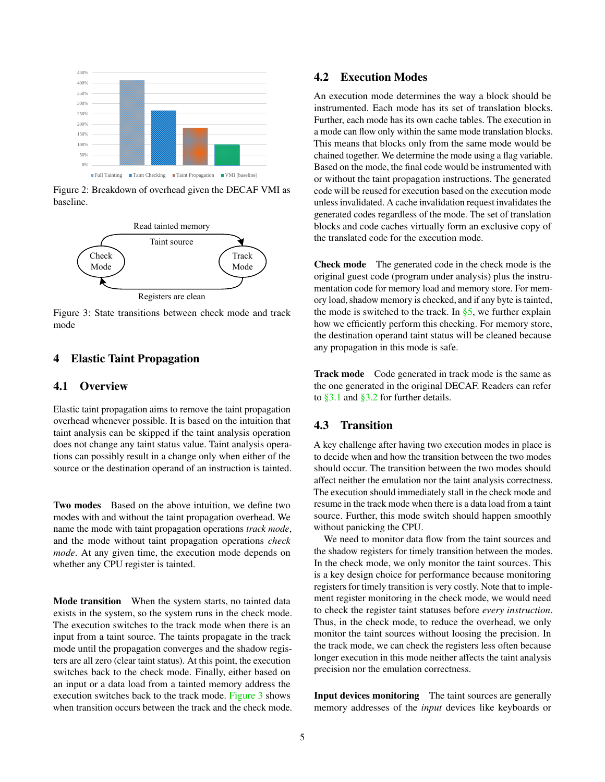<span id="page-4-0"></span>

Figure 2: Breakdown of overhead given the DECAF VMI as baseline.

<span id="page-4-1"></span>

Figure 3: State transitions between check mode and track mode

# 4 Elastic Taint Propagation

## 4.1 Overview

Elastic taint propagation aims to remove the taint propagation overhead whenever possible. It is based on the intuition that taint analysis can be skipped if the taint analysis operation does not change any taint status value. Taint analysis operations can possibly result in a change only when either of the source or the destination operand of an instruction is tainted.

Two modes Based on the above intuition, we define two modes with and without the taint propagation overhead. We name the mode with taint propagation operations *track mode*, and the mode without taint propagation operations *check mode*. At any given time, the execution mode depends on whether any CPU register is tainted.

Mode transition When the system starts, no tainted data exists in the system, so the system runs in the check mode. The execution switches to the track mode when there is an input from a taint source. The taints propagate in the track mode until the propagation converges and the shadow registers are all zero (clear taint status). At this point, the execution switches back to the check mode. Finally, either based on an input or a data load from a tainted memory address the execution switches back to the track mode. [Figure 3](#page-4-1) shows when transition occurs between the track and the check mode.

## 4.2 Execution Modes

An execution mode determines the way a block should be instrumented. Each mode has its set of translation blocks. Further, each mode has its own cache tables. The execution in a mode can flow only within the same mode translation blocks. This means that blocks only from the same mode would be chained together. We determine the mode using a flag variable. Based on the mode, the final code would be instrumented with or without the taint propagation instructions. The generated code will be reused for execution based on the execution mode unless invalidated. A cache invalidation request invalidates the generated codes regardless of the mode. The set of translation blocks and code caches virtually form an exclusive copy of the translated code for the execution mode.

Check mode The generated code in the check mode is the original guest code (program under analysis) plus the instrumentation code for memory load and memory store. For memory load, shadow memory is checked, and if any byte is tainted, the mode is switched to the track. In  $\S5$ , we further explain how we efficiently perform this checking. For memory store, the destination operand taint status will be cleaned because any propagation in this mode is safe.

Track mode Code generated in track mode is the same as the one generated in the original DECAF. Readers can refer to [§3.1](#page-2-0) and [§3.2](#page-3-2) for further details.

# <span id="page-4-2"></span>4.3 Transition

A key challenge after having two execution modes in place is to decide when and how the transition between the two modes should occur. The transition between the two modes should affect neither the emulation nor the taint analysis correctness. The execution should immediately stall in the check mode and resume in the track mode when there is a data load from a taint source. Further, this mode switch should happen smoothly without panicking the CPU.

We need to monitor data flow from the taint sources and the shadow registers for timely transition between the modes. In the check mode, we only monitor the taint sources. This is a key design choice for performance because monitoring registers for timely transition is very costly. Note that to implement register monitoring in the check mode, we would need to check the register taint statuses before *every instruction*. Thus, in the check mode, to reduce the overhead, we only monitor the taint sources without loosing the precision. In the track mode, we can check the registers less often because longer execution in this mode neither affects the taint analysis precision nor the emulation correctness.

Input devices monitoring The taint sources are generally memory addresses of the *input* devices like keyboards or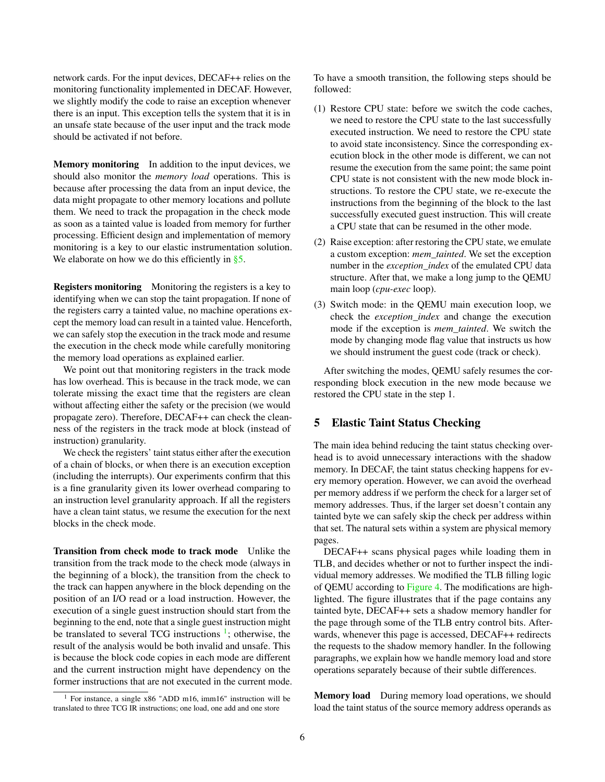network cards. For the input devices, DECAF++ relies on the monitoring functionality implemented in DECAF. However, we slightly modify the code to raise an exception whenever there is an input. This exception tells the system that it is in an unsafe state because of the user input and the track mode should be activated if not before.

Memory monitoring In addition to the input devices, we should also monitor the *memory load* operations. This is because after processing the data from an input device, the data might propagate to other memory locations and pollute them. We need to track the propagation in the check mode as soon as a tainted value is loaded from memory for further processing. Efficient design and implementation of memory monitoring is a key to our elastic instrumentation solution. We elaborate on how we do this efficiently in  $\S$ 5.

Registers monitoring Monitoring the registers is a key to identifying when we can stop the taint propagation. If none of the registers carry a tainted value, no machine operations except the memory load can result in a tainted value. Henceforth, we can safely stop the execution in the track mode and resume the execution in the check mode while carefully monitoring the memory load operations as explained earlier.

We point out that monitoring registers in the track mode has low overhead. This is because in the track mode, we can tolerate missing the exact time that the registers are clean without affecting either the safety or the precision (we would propagate zero). Therefore, DECAF++ can check the cleanness of the registers in the track mode at block (instead of instruction) granularity.

We check the registers' taint status either after the execution of a chain of blocks, or when there is an execution exception (including the interrupts). Our experiments confirm that this is a fine granularity given its lower overhead comparing to an instruction level granularity approach. If all the registers have a clean taint status, we resume the execution for the next blocks in the check mode.

Transition from check mode to track mode Unlike the transition from the track mode to the check mode (always in the beginning of a block), the transition from the check to the track can happen anywhere in the block depending on the position of an I/O read or a load instruction. However, the execution of a single guest instruction should start from the beginning to the end, note that a single guest instruction might be translated to several TCG instructions  $\frac{1}{1}$  $\frac{1}{1}$  $\frac{1}{1}$ ; otherwise, the result of the analysis would be both invalid and unsafe. This is because the block code copies in each mode are different and the current instruction might have dependency on the former instructions that are not executed in the current mode. To have a smooth transition, the following steps should be followed:

- (1) Restore CPU state: before we switch the code caches, we need to restore the CPU state to the last successfully executed instruction. We need to restore the CPU state to avoid state inconsistency. Since the corresponding execution block in the other mode is different, we can not resume the execution from the same point; the same point CPU state is not consistent with the new mode block instructions. To restore the CPU state, we re-execute the instructions from the beginning of the block to the last successfully executed guest instruction. This will create a CPU state that can be resumed in the other mode.
- (2) Raise exception: after restoring the CPU state, we emulate a custom exception: *mem\_tainted*. We set the exception number in the *exception\_index* of the emulated CPU data structure. After that, we make a long jump to the QEMU main loop (*cpu-exec* loop).
- (3) Switch mode: in the QEMU main execution loop, we check the *exception\_index* and change the execution mode if the exception is *mem\_tainted*. We switch the mode by changing mode flag value that instructs us how we should instrument the guest code (track or check).

After switching the modes, QEMU safely resumes the corresponding block execution in the new mode because we restored the CPU state in the step 1.

#### <span id="page-5-0"></span>5 Elastic Taint Status Checking

The main idea behind reducing the taint status checking overhead is to avoid unnecessary interactions with the shadow memory. In DECAF, the taint status checking happens for every memory operation. However, we can avoid the overhead per memory address if we perform the check for a larger set of memory addresses. Thus, if the larger set doesn't contain any tainted byte we can safely skip the check per address within that set. The natural sets within a system are physical memory pages.

DECAF++ scans physical pages while loading them in TLB, and decides whether or not to further inspect the individual memory addresses. We modified the TLB filling logic of QEMU according to [Figure 4.](#page-6-1) The modifications are highlighted. The figure illustrates that if the page contains any tainted byte, DECAF++ sets a shadow memory handler for the page through some of the TLB entry control bits. Afterwards, whenever this page is accessed, DECAF++ redirects the requests to the shadow memory handler. In the following paragraphs, we explain how we handle memory load and store operations separately because of their subtle differences.

<span id="page-5-1"></span>Memory load During memory load operations, we should load the taint status of the source memory address operands as

<span id="page-5-2"></span><sup>&</sup>lt;sup>1</sup> For instance, a single x86 "ADD m16, imm16" instruction will be translated to three TCG IR instructions; one load, one add and one store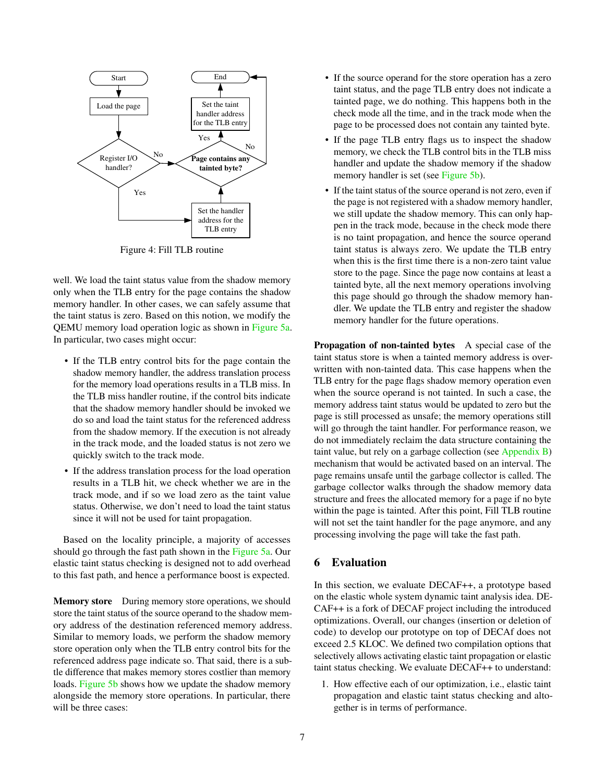<span id="page-6-1"></span>

Figure 4: Fill TLB routine

well. We load the taint status value from the shadow memory only when the TLB entry for the page contains the shadow memory handler. In other cases, we can safely assume that the taint status is zero. Based on this notion, we modify the QEMU memory load operation logic as shown in [Figure 5a.](#page-7-0) In particular, two cases might occur:

- If the TLB entry control bits for the page contain the shadow memory handler, the address translation process for the memory load operations results in a TLB miss. In the TLB miss handler routine, if the control bits indicate that the shadow memory handler should be invoked we do so and load the taint status for the referenced address from the shadow memory. If the execution is not already in the track mode, and the loaded status is not zero we quickly switch to the track mode.
- If the address translation process for the load operation results in a TLB hit, we check whether we are in the track mode, and if so we load zero as the taint value status. Otherwise, we don't need to load the taint status since it will not be used for taint propagation.

Based on the locality principle, a majority of accesses should go through the fast path shown in the [Figure 5a.](#page-7-0) Our elastic taint status checking is designed not to add overhead to this fast path, and hence a performance boost is expected.

Memory store During memory store operations, we should store the taint status of the source operand to the shadow memory address of the destination referenced memory address. Similar to memory loads, we perform the shadow memory store operation only when the TLB entry control bits for the referenced address page indicate so. That said, there is a subtle difference that makes memory stores costlier than memory loads. [Figure 5b](#page-7-0) shows how we update the shadow memory alongside the memory store operations. In particular, there will be three cases:

- If the source operand for the store operation has a zero taint status, and the page TLB entry does not indicate a tainted page, we do nothing. This happens both in the check mode all the time, and in the track mode when the page to be processed does not contain any tainted byte.
- If the page TLB entry flags us to inspect the shadow memory, we check the TLB control bits in the TLB miss handler and update the shadow memory if the shadow memory handler is set (see [Figure 5b\)](#page-7-0).
- If the taint status of the source operand is not zero, even if the page is not registered with a shadow memory handler, we still update the shadow memory. This can only happen in the track mode, because in the check mode there is no taint propagation, and hence the source operand taint status is always zero. We update the TLB entry when this is the first time there is a non-zero taint value store to the page. Since the page now contains at least a tainted byte, all the next memory operations involving this page should go through the shadow memory handler. We update the TLB entry and register the shadow memory handler for the future operations.

Propagation of non-tainted bytes A special case of the taint status store is when a tainted memory address is overwritten with non-tainted data. This case happens when the TLB entry for the page flags shadow memory operation even when the source operand is not tainted. In such a case, the memory address taint status would be updated to zero but the page is still processed as unsafe; the memory operations still will go through the taint handler. For performance reason, we do not immediately reclaim the data structure containing the taint value, but rely on a garbage collection (see [Appendix B\)](#page-14-0) mechanism that would be activated based on an interval. The page remains unsafe until the garbage collector is called. The garbage collector walks through the shadow memory data structure and frees the allocated memory for a page if no byte within the page is tainted. After this point, Fill TLB routine will not set the taint handler for the page anymore, and any processing involving the page will take the fast path.

## <span id="page-6-0"></span>6 Evaluation

In this section, we evaluate DECAF++, a prototype based on the elastic whole system dynamic taint analysis idea. DE-CAF++ is a fork of DECAF project including the introduced optimizations. Overall, our changes (insertion or deletion of code) to develop our prototype on top of DECAf does not exceed 2.5 KLOC. We defined two compilation options that selectively allows activating elastic taint propagation or elastic taint status checking. We evaluate DECAF++ to understand:

1. How effective each of our optimization, i.e., elastic taint propagation and elastic taint status checking and altogether is in terms of performance.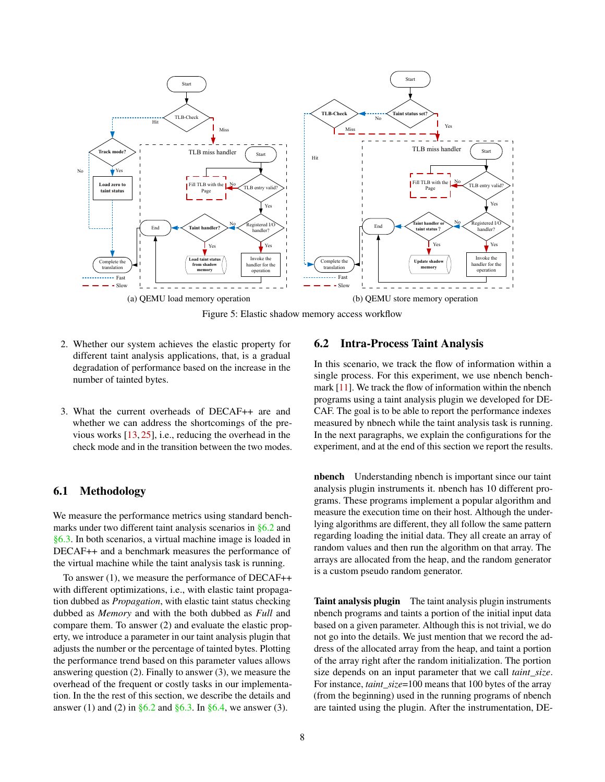<span id="page-7-0"></span>

Figure 5: Elastic shadow memory access workflow

- 2. Whether our system achieves the elastic property for different taint analysis applications, that, is a gradual degradation of performance based on the increase in the number of tainted bytes.
- 3. What the current overheads of DECAF++ are and whether we can address the shortcomings of the previous works  $[13, 25]$  $[13, 25]$  $[13, 25]$ , i.e., reducing the overhead in the check mode and in the transition between the two modes.

## 6.1 Methodology

We measure the performance metrics using standard benchmarks under two different taint analysis scenarios in [§6.2](#page-7-1) and [§6.3.](#page-9-0) In both scenarios, a virtual machine image is loaded in DECAF++ and a benchmark measures the performance of the virtual machine while the taint analysis task is running.

To answer (1), we measure the performance of DECAF++ with different optimizations, i.e., with elastic taint propagation dubbed as *Propagation*, with elastic taint status checking dubbed as *Memory* and with the both dubbed as *Full* and compare them. To answer (2) and evaluate the elastic property, we introduce a parameter in our taint analysis plugin that adjusts the number or the percentage of tainted bytes. Plotting the performance trend based on this parameter values allows answering question (2). Finally to answer (3), we measure the overhead of the frequent or costly tasks in our implementation. In the the rest of this section, we describe the details and answer (1) and (2) in  $\S 6.2$  and  $\S 6.3$ . In  $\S 6.4$ , we answer (3).

#### <span id="page-7-1"></span>6.2 Intra-Process Taint Analysis

In this scenario, we track the flow of information within a single process. For this experiment, we use nbench benchmark [\[11\]](#page-12-14). We track the flow of information within the nbench programs using a taint analysis plugin we developed for DE-CAF. The goal is to be able to report the performance indexes measured by nbnech while the taint analysis task is running. In the next paragraphs, we explain the configurations for the experiment, and at the end of this section we report the results.

nbench Understanding nbench is important since our taint analysis plugin instruments it. nbench has 10 different programs. These programs implement a popular algorithm and measure the execution time on their host. Although the underlying algorithms are different, they all follow the same pattern regarding loading the initial data. They all create an array of random values and then run the algorithm on that array. The arrays are allocated from the heap, and the random generator is a custom pseudo random generator.

Taint analysis plugin The taint analysis plugin instruments nbench programs and taints a portion of the initial input data based on a given parameter. Although this is not trivial, we do not go into the details. We just mention that we record the address of the allocated array from the heap, and taint a portion of the array right after the random initialization. The portion size depends on an input parameter that we call *taint\_size*. For instance, *taint\_size*=100 means that 100 bytes of the array (from the beginning) used in the running programs of nbench are tainted using the plugin. After the instrumentation, DE-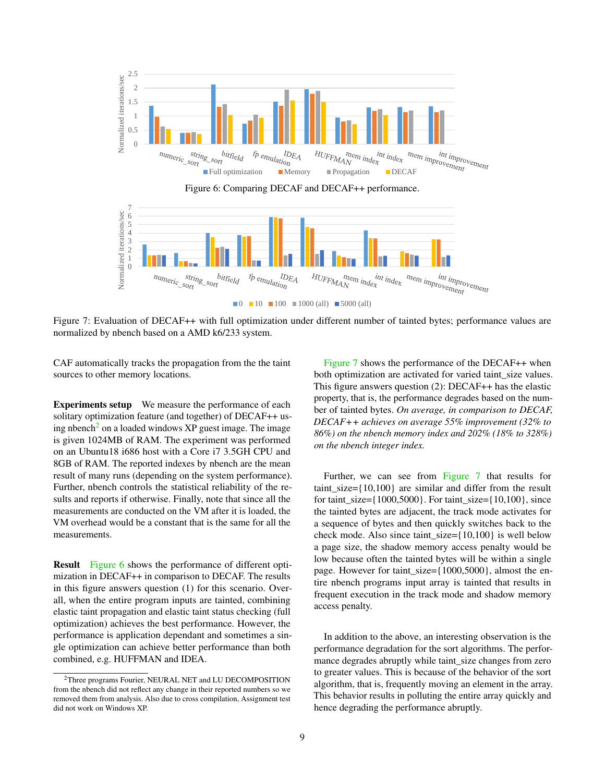<span id="page-8-1"></span>

Figure 6: Comparing DECAF and DECAF++ performance.

<span id="page-8-2"></span>

 $\blacksquare$ 0  $\blacksquare$ 10  $\blacksquare$ 100  $\blacksquare$ 1000 (all)  $\blacksquare$  5000 (all)

Figure 7: Evaluation of DECAF++ with full optimization under different number of tainted bytes; performance values are normalized by nbench based on a AMD k6/233 system.

CAF automatically tracks the propagation from the the taint sources to other memory locations.

Experiments setup We measure the performance of each solitary optimization feature (and together) of DECAF++ us-ing nbench<sup>[2](#page-8-0)</sup> on a loaded windows  $XP$  guest image. The image is given 1024MB of RAM. The experiment was performed on an Ubuntu18 i686 host with a Core i7 3.5GH CPU and 8GB of RAM. The reported indexes by nbench are the mean result of many runs (depending on the system performance). Further, nbench controls the statistical reliability of the results and reports if otherwise. Finally, note that since all the measurements are conducted on the VM after it is loaded, the VM overhead would be a constant that is the same for all the measurements.

Result [Figure 6](#page-8-1) shows the performance of different optimization in DECAF++ in comparison to DECAF. The results in this figure answers question (1) for this scenario. Overall, when the entire program inputs are tainted, combining elastic taint propagation and elastic taint status checking (full optimization) achieves the best performance. However, the performance is application dependant and sometimes a single optimization can achieve better performance than both combined, e.g. HUFFMAN and IDEA.

[Figure 7](#page-8-2) shows the performance of the DECAF++ when both optimization are activated for varied taint\_size values. This figure answers question (2): DECAF++ has the elastic property, that is, the performance degrades based on the number of tainted bytes. *On average, in comparison to DECAF, DECAF++ achieves on average 55% improvement (32% to 86%) on the nbench memory index and 202% (18% to 328%) on the nbench integer index.*

Further, we can see from [Figure 7](#page-8-2) that results for taint\_size={10,100} are similar and differ from the result for taint\_size={1000,5000}. For taint\_size={10,100}, since the tainted bytes are adjacent, the track mode activates for a sequence of bytes and then quickly switches back to the check mode. Also since taint\_size={10,100} is well below a page size, the shadow memory access penalty would be low because often the tainted bytes will be within a single page. However for taint\_size={1000,5000}, almost the entire nbench programs input array is tainted that results in frequent execution in the track mode and shadow memory access penalty.

In addition to the above, an interesting observation is the performance degradation for the sort algorithms. The performance degrades abruptly while taint\_size changes from zero to greater values. This is because of the behavior of the sort algorithm, that is, frequently moving an element in the array. This behavior results in polluting the entire array quickly and hence degrading the performance abruptly.

<span id="page-8-0"></span><sup>2</sup>Three programs Fourier, NEURAL NET and LU DECOMPOSITION from the nbench did not reflect any change in their reported numbers so we removed them from analysis. Also due to cross compilation, Assignment test did not work on Windows XP.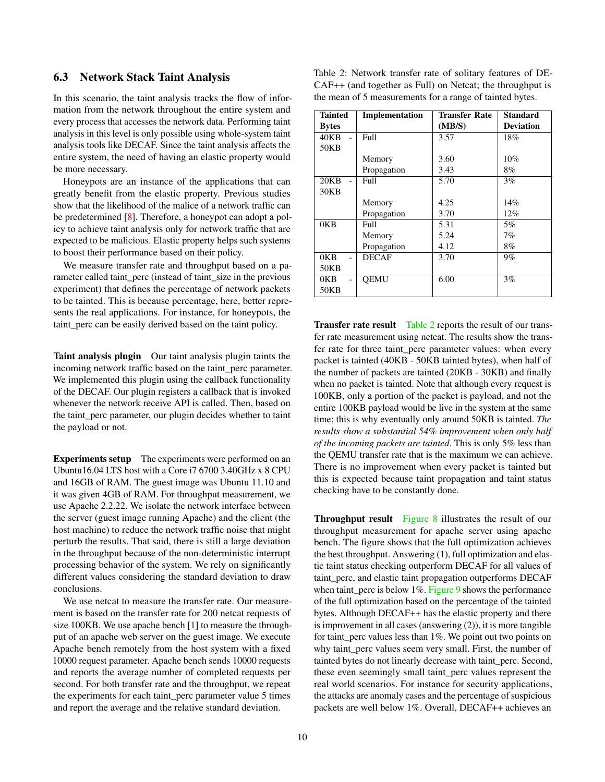#### <span id="page-9-0"></span>6.3 Network Stack Taint Analysis

In this scenario, the taint analysis tracks the flow of information from the network throughout the entire system and every process that accesses the network data. Performing taint analysis in this level is only possible using whole-system taint analysis tools like DECAF. Since the taint analysis affects the entire system, the need of having an elastic property would be more necessary.

Honeypots are an instance of the applications that can greatly benefit from the elastic property. Previous studies show that the likelihood of the malice of a network traffic can be predetermined [\[8\]](#page-12-15). Therefore, a honeypot can adopt a policy to achieve taint analysis only for network traffic that are expected to be malicious. Elastic property helps such systems to boost their performance based on their policy.

We measure transfer rate and throughput based on a parameter called taint\_perc (instead of taint\_size in the previous experiment) that defines the percentage of network packets to be tainted. This is because percentage, here, better represents the real applications. For instance, for honeypots, the taint\_perc can be easily derived based on the taint policy.

Taint analysis plugin Our taint analysis plugin taints the incoming network traffic based on the taint\_perc parameter. We implemented this plugin using the callback functionality of the DECAF. Our plugin registers a callback that is invoked whenever the network receive API is called. Then, based on the taint perc parameter, our plugin decides whether to taint the payload or not.

Experiments setup The experiments were performed on an Ubuntu16.04 LTS host with a Core i7 6700 3.40GHz x 8 CPU and 16GB of RAM. The guest image was Ubuntu 11.10 and it was given 4GB of RAM. For throughput measurement, we use Apache 2.2.22. We isolate the network interface between the server (guest image running Apache) and the client (the host machine) to reduce the network traffic noise that might perturb the results. That said, there is still a large deviation in the throughput because of the non-deterministic interrupt processing behavior of the system. We rely on significantly different values considering the standard deviation to draw conclusions.

We use netcat to measure the transfer rate. Our measurement is based on the transfer rate for 200 netcat requests of size 100KB. We use apache bench [\[1\]](#page-11-2) to measure the throughput of an apache web server on the guest image. We execute Apache bench remotely from the host system with a fixed 10000 request parameter. Apache bench sends 10000 requests and reports the average number of completed requests per second. For both transfer rate and the throughput, we repeat the experiments for each taint\_perc parameter value 5 times and report the average and the relative standard deviation.

<span id="page-9-1"></span>Table 2: Network transfer rate of solitary features of DE-CAF++ (and together as Full) on Netcat; the throughput is the mean of 5 measurements for a range of tainted bytes.

| <b>Tainted</b>   | Implementation | <b>Transfer Rate</b> | <b>Standard</b>  |  |
|------------------|----------------|----------------------|------------------|--|
| <b>Bytes</b>     |                | (MB/S)               | <b>Deviation</b> |  |
| 40KB             | Full           | 3.57                 | 18%              |  |
| 50KB             |                |                      |                  |  |
|                  | Memory         | 3.60                 | $10\%$           |  |
|                  | Propagation    | 3.43                 | 8%               |  |
| 20KB             | Full           | 5.70                 | 3%               |  |
| 30KB             |                |                      |                  |  |
|                  | Memory         | 4.25                 | 14%              |  |
|                  | Propagation    | 3.70                 | 12%              |  |
| 0 <sub>K</sub> B | Full           | 5.31                 | 5%               |  |
|                  | Memory         | 5.24                 | 7%               |  |
|                  | Propagation    | 4.12                 | 8%               |  |
| 0 <sub>K</sub> B | <b>DECAF</b>   | 3.70                 | $9\%$            |  |
| 50KB             |                |                      |                  |  |
| 0KB              | <b>OEMU</b>    | 6.00                 | 3%               |  |
| 50KB             |                |                      |                  |  |

Transfer rate result [Table 2](#page-9-1) reports the result of our transfer rate measurement using netcat. The results show the transfer rate for three taint perc parameter values: when every packet is tainted (40KB - 50KB tainted bytes), when half of the number of packets are tainted (20KB - 30KB) and finally when no packet is tainted. Note that although every request is 100KB, only a portion of the packet is payload, and not the entire 100KB payload would be live in the system at the same time; this is why eventually only around 50KB is tainted. *The results show a substantial 54% improvement when only half of the incoming packets are tainted*. This is only 5% less than the QEMU transfer rate that is the maximum we can achieve. There is no improvement when every packet is tainted but this is expected because taint propagation and taint status checking have to be constantly done.

**Throughput result** [Figure 8](#page-10-2) illustrates the result of our throughput measurement for apache server using apache bench. The figure shows that the full optimization achieves the best throughput. Answering (1), full optimization and elastic taint status checking outperform DECAF for all values of taint\_perc, and elastic taint propagation outperforms DECAF when taint\_perc is below 1%. [Figure 9](#page-10-3) shows the performance of the full optimization based on the percentage of the tainted bytes. Although DECAF++ has the elastic property and there is improvement in all cases (answering (2)), it is more tangible for taint\_perc values less than 1%. We point out two points on why taint perc values seem very small. First, the number of tainted bytes do not linearly decrease with taint\_perc. Second, these even seemingly small taint\_perc values represent the real world scenarios. For instance for security applications, the attacks are anomaly cases and the percentage of suspicious packets are well below 1%. Overall, DECAF++ achieves an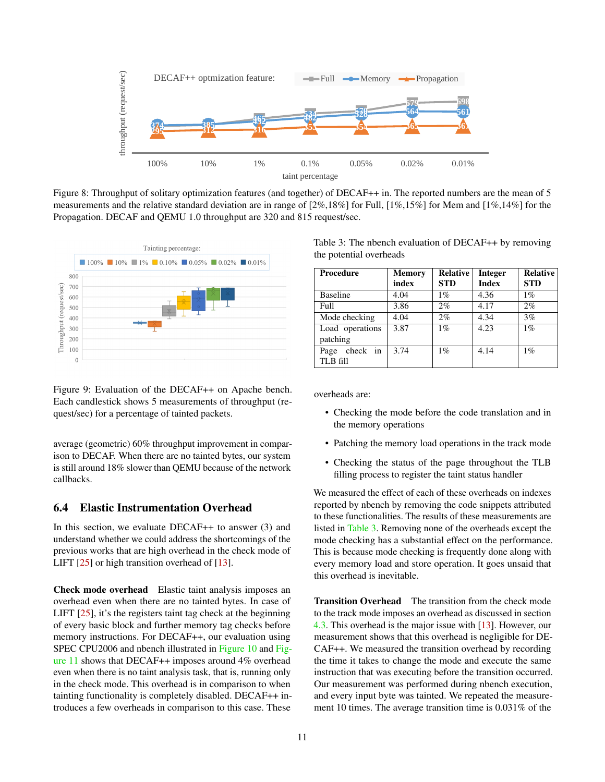<span id="page-10-2"></span>

Figure 8: Throughput of solitary optimization features (and together) of DECAF++ in. The reported numbers are the mean of 5 measurements and the relative standard deviation are in range of [2%,18%] for Full, [1%,15%] for Mem and [1%,14%] for the Propagation. DECAF and QEMU 1.0 throughput are 320 and 815 request/sec.

<span id="page-10-3"></span>

Figure 9: Evaluation of the DECAF++ on Apache bench. Each candlestick shows 5 measurements of throughput (request/sec) for a percentage of tainted packets.

average (geometric) 60% throughput improvement in comparison to DECAF. When there are no tainted bytes, our system is still around 18% slower than QEMU because of the network callbacks.

# <span id="page-10-0"></span>6.4 Elastic Instrumentation Overhead

In this section, we evaluate DECAF++ to answer (3) and understand whether we could address the shortcomings of the previous works that are high overhead in the check mode of LIFT [\[25\]](#page-13-5) or high transition overhead of [\[13\]](#page-12-10).

Check mode overhead Elastic taint analysis imposes an overhead even when there are no tainted bytes. In case of LIFT [\[25\]](#page-13-5), it's the registers taint tag check at the beginning of every basic block and further memory tag checks before memory instructions. For DECAF++, our evaluation using SPEC CPU2006 and nbench illustrated in [Figure 10](#page-11-3) and [Fig](#page-11-4)[ure 11](#page-11-4) shows that DECAF++ imposes around 4% overhead even when there is no taint analysis task, that is, running only in the check mode. This overhead is in comparison to when tainting functionality is completely disabled. DECAF++ introduces a few overheads in comparison to this case. These

<span id="page-10-4"></span>Table 3: The nbench evaluation of DECAF++ by removing the potential overheads

| Procedure                    | <b>Memory</b><br>index | <b>Relative</b><br><b>STD</b> | <b>Integer</b><br><b>Index</b> | <b>Relative</b><br><b>STD</b> |
|------------------------------|------------------------|-------------------------------|--------------------------------|-------------------------------|
| <b>Baseline</b>              | 4.04                   | $1\%$                         | 4.36                           | $1\%$                         |
| Full                         | 3.86                   | 2%                            | 4.17                           | 2%                            |
| Mode checking                | 4.04                   | 2%                            | 4.34                           | 3%                            |
| Load operations<br>patching  | 3.87                   | $1\%$                         | 4.23                           | $1\%$                         |
| check in<br>Page<br>TLB fill | 3.74                   | $1\%$                         | 4.14                           | $1\%$                         |

overheads are:

- Checking the mode before the code translation and in the memory operations
- Patching the memory load operations in the track mode
- Checking the status of the page throughout the TLB filling process to register the taint status handler

We measured the effect of each of these overheads on indexes reported by nbench by removing the code snippets attributed to these functionalities. The results of these measurements are listed in [Table 3.](#page-10-4) Removing none of the overheads except the mode checking has a substantial effect on the performance. This is because mode checking is frequently done along with every memory load and store operation. It goes unsaid that this overhead is inevitable.

<span id="page-10-1"></span>Transition Overhead The transition from the check mode to the track mode imposes an overhead as discussed in section [4.3.](#page-4-2) This overhead is the major issue with [\[13\]](#page-12-10). However, our measurement shows that this overhead is negligible for DE-CAF++. We measured the transition overhead by recording the time it takes to change the mode and execute the same instruction that was executing before the transition occurred. Our measurement was performed during nbench execution, and every input byte was tainted. We repeated the measurement 10 times. The average transition time is 0.031% of the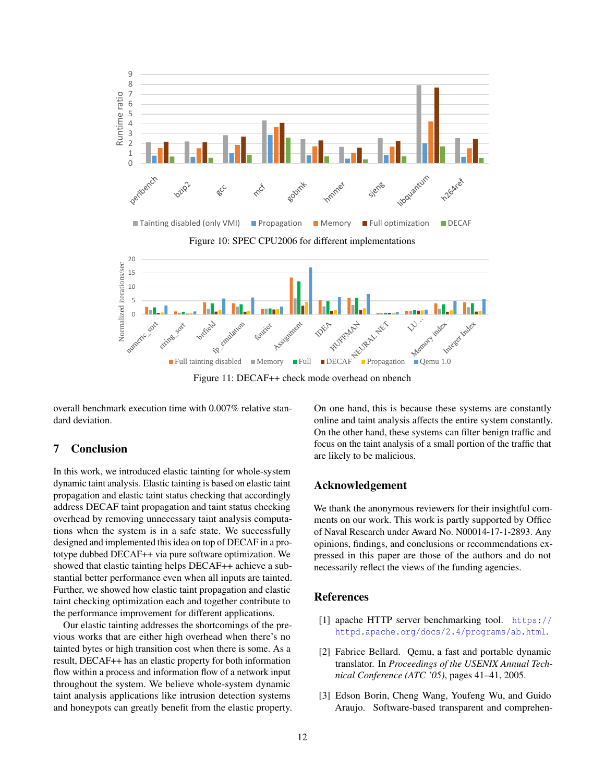<span id="page-11-3"></span>

Figure 11: DECAF++ check mode overhead on nbench

<span id="page-11-4"></span>overall benchmark execution time with 0.007% relative standard deviation.

#### 7 Conclusion

In this work, we introduced elastic tainting for whole-system dynamic taint analysis. Elastic tainting is based on elastic taint propagation and elastic taint status checking that accordingly address DECAF taint propagation and taint status checking overhead by removing unnecessary taint analysis computations when the system is in a safe state. We successfully designed and implemented this idea on top of DECAF in a prototype dubbed DECAF++ via pure software optimization. We showed that elastic tainting helps DECAF++ achieve a substantial better performance even when all inputs are tainted. Further, we showed how elastic taint propagation and elastic taint checking optimization each and together contribute to the performance improvement for different applications.

Our elastic tainting addresses the shortcomings of the previous works that are either high overhead when there's no tainted bytes or high transition cost when there is some. As a result, DECAF++ has an elastic property for both information flow within a process and information flow of a network input throughout the system. We believe whole-system dynamic taint analysis applications like intrusion detection systems and honeypots can greatly benefit from the elastic property. On one hand, this is because these systems are constantly online and taint analysis affects the entire system constantly. On the other hand, these systems can filter benign traffic and focus on the taint analysis of a small portion of the traffic that are likely to be malicious.

## Acknowledgement

We thank the anonymous reviewers for their insightful comments on our work. This work is partly supported by Office of Naval Research under Award No. N00014-17-1-2893. Any opinions, findings, and conclusions or recommendations expressed in this paper are those of the authors and do not necessarily reflect the views of the funding agencies.

### References

- <span id="page-11-2"></span>[1] apache HTTP server benchmarking tool. [https://](https://httpd.apache.org/docs/2.4/programs/ab.html) [httpd.apache.org/docs/2.4/programs/ab.html](https://httpd.apache.org/docs/2.4/programs/ab.html).
- <span id="page-11-1"></span>[2] Fabrice Bellard. Qemu, a fast and portable dynamic translator. In *Proceedings of the USENIX Annual Technical Conference (ATC '05)*, pages 41–41, 2005.
- <span id="page-11-0"></span>[3] Edson Borin, Cheng Wang, Youfeng Wu, and Guido Araujo. Software-based transparent and comprehen-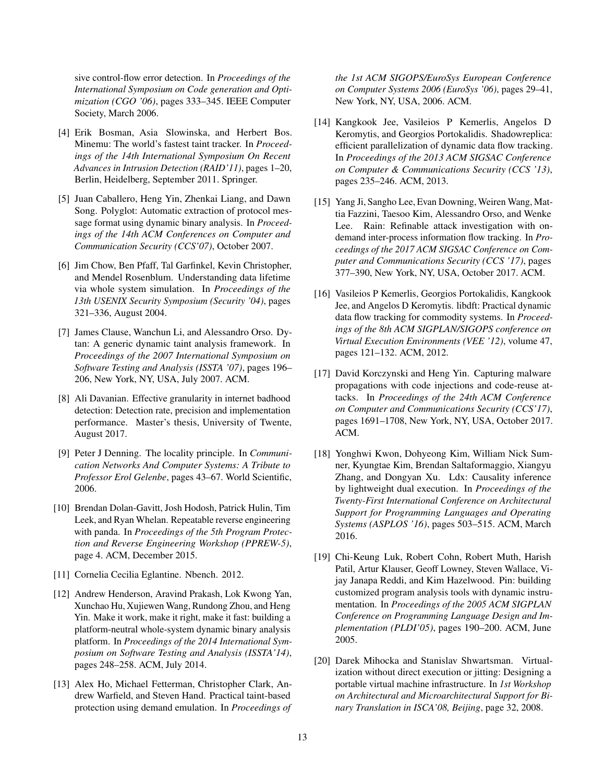sive control-flow error detection. In *Proceedings of the International Symposium on Code generation and Optimization (CGO '06)*, pages 333–345. IEEE Computer Society, March 2006.

- <span id="page-12-5"></span>[4] Erik Bosman, Asia Slowinska, and Herbert Bos. Minemu: The world's fastest taint tracker. In *Proceedings of the 14th International Symposium On Recent Advances in Intrusion Detection (RAID'11)*, pages 1–20, Berlin, Heidelberg, September 2011. Springer.
- <span id="page-12-1"></span>[5] Juan Caballero, Heng Yin, Zhenkai Liang, and Dawn Song. Polyglot: Automatic extraction of protocol message format using dynamic binary analysis. In *Proceedings of the 14th ACM Conferences on Computer and Communication Security (CCS'07)*, October 2007.
- <span id="page-12-6"></span>[6] Jim Chow, Ben Pfaff, Tal Garfinkel, Kevin Christopher, and Mendel Rosenblum. Understanding data lifetime via whole system simulation. In *Proceedings of the 13th USENIX Security Symposium (Security '04)*, pages 321–336, August 2004.
- <span id="page-12-4"></span>[7] James Clause, Wanchun Li, and Alessandro Orso. Dytan: A generic dynamic taint analysis framework. In *Proceedings of the 2007 International Symposium on Software Testing and Analysis (ISSTA '07)*, pages 196– 206, New York, NY, USA, July 2007. ACM.
- <span id="page-12-15"></span>[8] Ali Davanian. Effective granularity in internet badhood detection: Detection rate, precision and implementation performance. Master's thesis, University of Twente, August 2017.
- <span id="page-12-16"></span>[9] Peter J Denning. The locality principle. In *Communication Networks And Computer Systems: A Tribute to Professor Erol Gelenbe*, pages 43–67. World Scientific, 2006.
- <span id="page-12-8"></span>[10] Brendan Dolan-Gavitt, Josh Hodosh, Patrick Hulin, Tim Leek, and Ryan Whelan. Repeatable reverse engineering with panda. In *Proceedings of the 5th Program Protection and Reverse Engineering Workshop (PPREW-5)*, page 4. ACM, December 2015.
- <span id="page-12-14"></span>[11] Cornelia Cecilia Eglantine. Nbench. 2012.
- <span id="page-12-7"></span>[12] Andrew Henderson, Aravind Prakash, Lok Kwong Yan, Xunchao Hu, Xujiewen Wang, Rundong Zhou, and Heng Yin. Make it work, make it right, make it fast: building a platform-neutral whole-system dynamic binary analysis platform. In *Proceedings of the 2014 International Symposium on Software Testing and Analysis (ISSTA'14)*, pages 248–258. ACM, July 2014.
- <span id="page-12-10"></span>[13] Alex Ho, Michael Fetterman, Christopher Clark, Andrew Warfield, and Steven Hand. Practical taint-based protection using demand emulation. In *Proceedings of*

*the 1st ACM SIGOPS/EuroSys European Conference on Computer Systems 2006 (EuroSys '06)*, pages 29–41, New York, NY, USA, 2006. ACM.

- <span id="page-12-11"></span>[14] Kangkook Jee, Vasileios P Kemerlis, Angelos D Keromytis, and Georgios Portokalidis. Shadowreplica: efficient parallelization of dynamic data flow tracking. In *Proceedings of the 2013 ACM SIGSAC Conference on Computer & Communications Security (CCS '13)*, pages 235–246. ACM, 2013.
- <span id="page-12-12"></span>[15] Yang Ji, Sangho Lee, Evan Downing, Weiren Wang, Mattia Fazzini, Taesoo Kim, Alessandro Orso, and Wenke Lee. Rain: Refinable attack investigation with ondemand inter-process information flow tracking. In *Proceedings of the 2017 ACM SIGSAC Conference on Computer and Communications Security (CCS '17)*, pages 377–390, New York, NY, USA, October 2017. ACM.
- <span id="page-12-3"></span>[16] Vasileios P Kemerlis, Georgios Portokalidis, Kangkook Jee, and Angelos D Keromytis. libdft: Practical dynamic data flow tracking for commodity systems. In *Proceedings of the 8th ACM SIGPLAN/SIGOPS conference on Virtual Execution Environments (VEE '12)*, volume 47, pages 121–132. ACM, 2012.
- <span id="page-12-0"></span>[17] David Korczynski and Heng Yin. Capturing malware propagations with code injections and code-reuse attacks. In *Proceedings of the 24th ACM Conference on Computer and Communications Security (CCS'17)*, pages 1691–1708, New York, NY, USA, October 2017. ACM.
- <span id="page-12-13"></span>[18] Yonghwi Kwon, Dohyeong Kim, William Nick Sumner, Kyungtae Kim, Brendan Saltaformaggio, Xiangyu Zhang, and Dongyan Xu. Ldx: Causality inference by lightweight dual execution. In *Proceedings of the Twenty-First International Conference on Architectural Support for Programming Languages and Operating Systems (ASPLOS '16)*, pages 503–515. ACM, March 2016.
- <span id="page-12-2"></span>[19] Chi-Keung Luk, Robert Cohn, Robert Muth, Harish Patil, Artur Klauser, Geoff Lowney, Steven Wallace, Vijay Janapa Reddi, and Kim Hazelwood. Pin: building customized program analysis tools with dynamic instrumentation. In *Proceedings of the 2005 ACM SIGPLAN Conference on Programming Language Design and Implementation (PLDI'05)*, pages 190–200. ACM, June 2005.
- <span id="page-12-9"></span>[20] Darek Mihocka and Stanislav Shwartsman. Virtualization without direct execution or jitting: Designing a portable virtual machine infrastructure. In *1st Workshop on Architectural and Microarchitectural Support for Binary Translation in ISCA'08, Beijing*, page 32, 2008.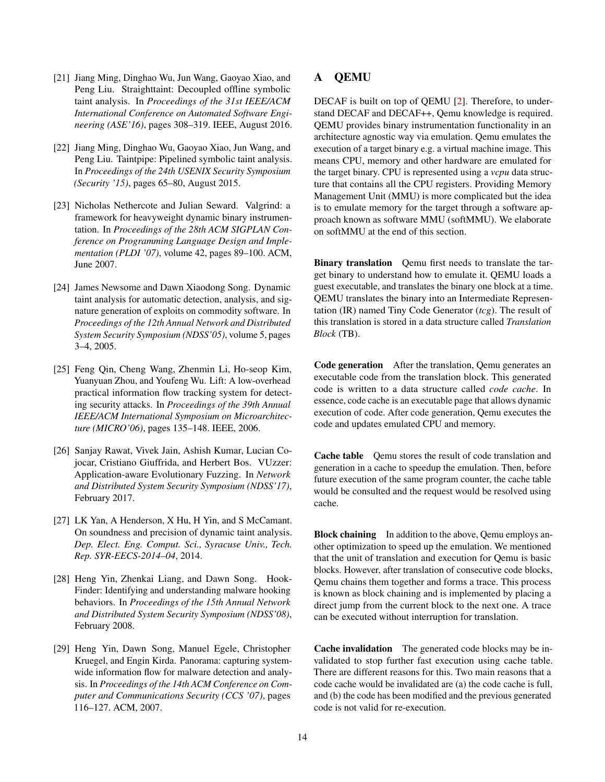- <span id="page-13-6"></span>[21] Jiang Ming, Dinghao Wu, Jun Wang, Gaoyao Xiao, and Peng Liu. Straighttaint: Decoupled offline symbolic taint analysis. In *Proceedings of the 31st IEEE/ACM International Conference on Automated Software Engineering (ASE'16)*, pages 308–319. IEEE, August 2016.
- <span id="page-13-7"></span>[22] Jiang Ming, Dinghao Wu, Gaoyao Xiao, Jun Wang, and Peng Liu. Taintpipe: Pipelined symbolic taint analysis. In *Proceedings of the 24th USENIX Security Symposium (Security '15)*, pages 65–80, August 2015.
- <span id="page-13-4"></span>[23] Nicholas Nethercote and Julian Seward. Valgrind: a framework for heavyweight dynamic binary instrumentation. In *Proceedings of the 28th ACM SIGPLAN Conference on Programming Language Design and Implementation (PLDI '07)*, volume 42, pages 89–100. ACM, June 2007.
- <span id="page-13-2"></span>[24] James Newsome and Dawn Xiaodong Song. Dynamic taint analysis for automatic detection, analysis, and signature generation of exploits on commodity software. In *Proceedings of the 12th Annual Network and Distributed System Security Symposium (NDSS'05)*, volume 5, pages 3–4, 2005.
- <span id="page-13-5"></span>[25] Feng Qin, Cheng Wang, Zhenmin Li, Ho-seop Kim, Yuanyuan Zhou, and Youfeng Wu. Lift: A low-overhead practical information flow tracking system for detecting security attacks. In *Proceedings of the 39th Annual IEEE/ACM International Symposium on Microarchitecture (MICRO'06)*, pages 135–148. IEEE, 2006.
- <span id="page-13-3"></span>[26] Sanjay Rawat, Vivek Jain, Ashish Kumar, Lucian Cojocar, Cristiano Giuffrida, and Herbert Bos. VUzzer: Application-aware Evolutionary Fuzzing. In *Network and Distributed System Security Symposium (NDSS'17)*, February 2017.
- <span id="page-13-9"></span>[27] LK Yan, A Henderson, X Hu, H Yin, and S McCamant. On soundness and precision of dynamic taint analysis. *Dep. Elect. Eng. Comput. Sci., Syracuse Univ., Tech. Rep. SYR-EECS-2014–04*, 2014.
- <span id="page-13-0"></span>[28] Heng Yin, Zhenkai Liang, and Dawn Song. Hook-Finder: Identifying and understanding malware hooking behaviors. In *Proceedings of the 15th Annual Network and Distributed System Security Symposium (NDSS'08)*, February 2008.
- <span id="page-13-1"></span>[29] Heng Yin, Dawn Song, Manuel Egele, Christopher Kruegel, and Engin Kirda. Panorama: capturing systemwide information flow for malware detection and analysis. In *Proceedings of the 14th ACM Conference on Computer and Communications Security (CCS '07)*, pages 116–127. ACM, 2007.

# <span id="page-13-8"></span>A QEMU

DECAF is built on top of QEMU [\[2\]](#page-11-1). Therefore, to understand DECAF and DECAF++, Qemu knowledge is required. QEMU provides binary instrumentation functionality in an architecture agnostic way via emulation. Qemu emulates the execution of a target binary e.g. a virtual machine image. This means CPU, memory and other hardware are emulated for the target binary. CPU is represented using a *vcpu* data structure that contains all the CPU registers. Providing Memory Management Unit (MMU) is more complicated but the idea is to emulate memory for the target through a software approach known as software MMU (softMMU). We elaborate on softMMU at the end of this section.

Binary translation Oemu first needs to translate the target binary to understand how to emulate it. QEMU loads a guest executable, and translates the binary one block at a time. QEMU translates the binary into an Intermediate Representation (IR) named Tiny Code Generator (*tcg*). The result of this translation is stored in a data structure called *Translation Block* (TB).

Code generation After the translation, Qemu generates an executable code from the translation block. This generated code is written to a data structure called *code cache*. In essence, code cache is an executable page that allows dynamic execution of code. After code generation, Qemu executes the code and updates emulated CPU and memory.

Cache table Qemu stores the result of code translation and generation in a cache to speedup the emulation. Then, before future execution of the same program counter, the cache table would be consulted and the request would be resolved using cache.

**Block chaining** In addition to the above, Qemu employs another optimization to speed up the emulation. We mentioned that the unit of translation and execution for Qemu is basic blocks. However, after translation of consecutive code blocks, Qemu chains them together and forms a trace. This process is known as block chaining and is implemented by placing a direct jump from the current block to the next one. A trace can be executed without interruption for translation.

Cache invalidation The generated code blocks may be invalidated to stop further fast execution using cache table. There are different reasons for this. Two main reasons that a code cache would be invalidated are (a) the code cache is full, and (b) the code has been modified and the previous generated code is not valid for re-execution.